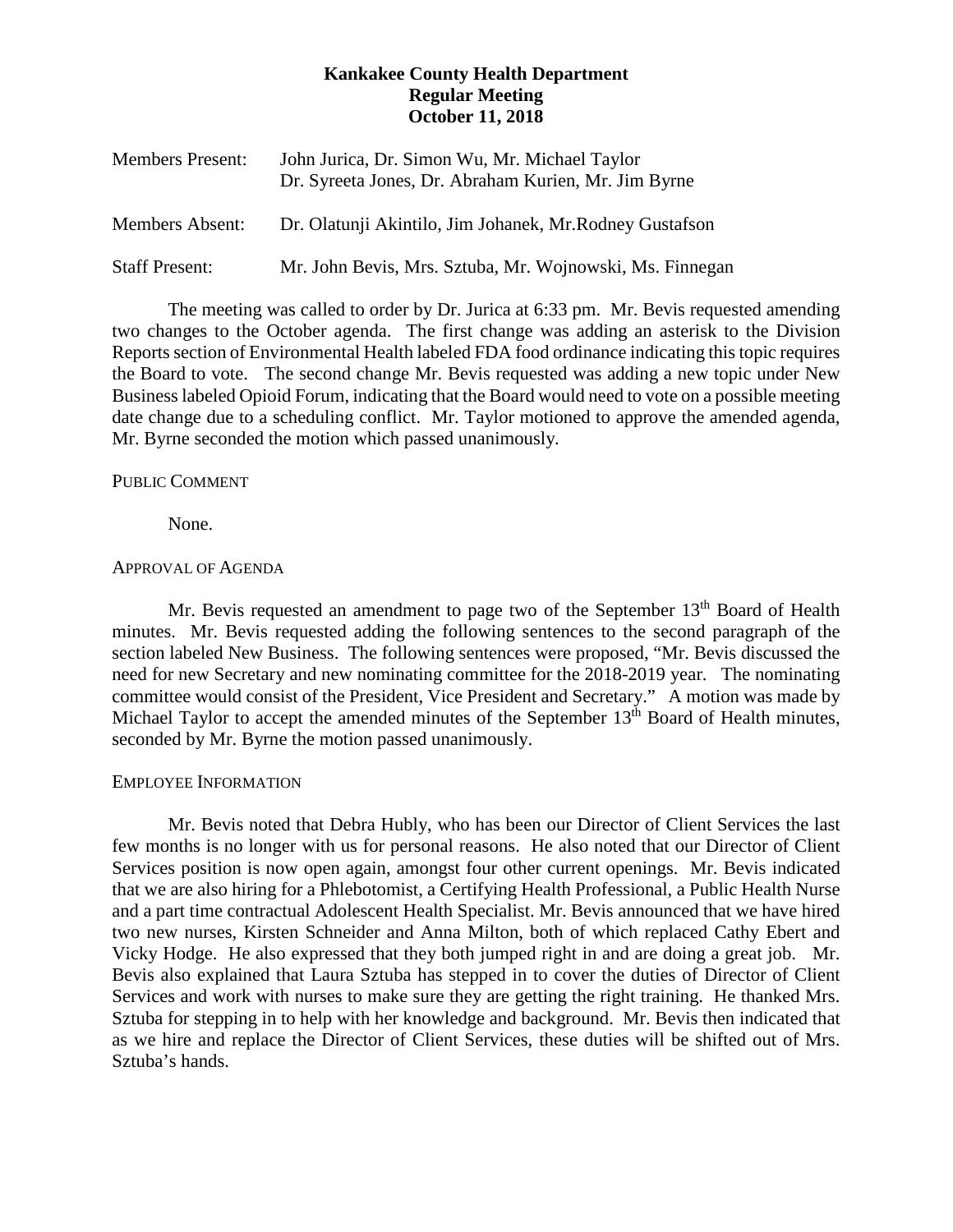# **Kankakee County Health Department Regular Meeting October 11, 2018**

| <b>Members Present:</b> | John Jurica, Dr. Simon Wu, Mr. Michael Taylor<br>Dr. Syreeta Jones, Dr. Abraham Kurien, Mr. Jim Byrne |
|-------------------------|-------------------------------------------------------------------------------------------------------|
| <b>Members Absent:</b>  | Dr. Olatunji Akintilo, Jim Johanek, Mr. Rodney Gustafson                                              |
| <b>Staff Present:</b>   | Mr. John Bevis, Mrs. Sztuba, Mr. Wojnowski, Ms. Finnegan                                              |

The meeting was called to order by Dr. Jurica at 6:33 pm. Mr. Bevis requested amending two changes to the October agenda. The first change was adding an asterisk to the Division Reports section of Environmental Health labeled FDA food ordinance indicating this topic requires the Board to vote. The second change Mr. Bevis requested was adding a new topic under New Business labeled Opioid Forum, indicating that the Board would need to vote on a possible meeting date change due to a scheduling conflict. Mr. Taylor motioned to approve the amended agenda, Mr. Byrne seconded the motion which passed unanimously.

## PUBLIC COMMENT

None.

#### APPROVAL OF AGENDA

Mr. Bevis requested an amendment to page two of the September  $13<sup>th</sup>$  Board of Health minutes. Mr. Bevis requested adding the following sentences to the second paragraph of the section labeled New Business. The following sentences were proposed, "Mr. Bevis discussed the need for new Secretary and new nominating committee for the 2018-2019 year. The nominating committee would consist of the President, Vice President and Secretary." A motion was made by Michael Taylor to accept the amended minutes of the September 13<sup>th</sup> Board of Health minutes, seconded by Mr. Byrne the motion passed unanimously.

## EMPLOYEE INFORMATION

Mr. Bevis noted that Debra Hubly, who has been our Director of Client Services the last few months is no longer with us for personal reasons. He also noted that our Director of Client Services position is now open again, amongst four other current openings. Mr. Bevis indicated that we are also hiring for a Phlebotomist, a Certifying Health Professional, a Public Health Nurse and a part time contractual Adolescent Health Specialist. Mr. Bevis announced that we have hired two new nurses, Kirsten Schneider and Anna Milton, both of which replaced Cathy Ebert and Vicky Hodge. He also expressed that they both jumped right in and are doing a great job. Mr. Bevis also explained that Laura Sztuba has stepped in to cover the duties of Director of Client Services and work with nurses to make sure they are getting the right training. He thanked Mrs. Sztuba for stepping in to help with her knowledge and background. Mr. Bevis then indicated that as we hire and replace the Director of Client Services, these duties will be shifted out of Mrs. Sztuba's hands.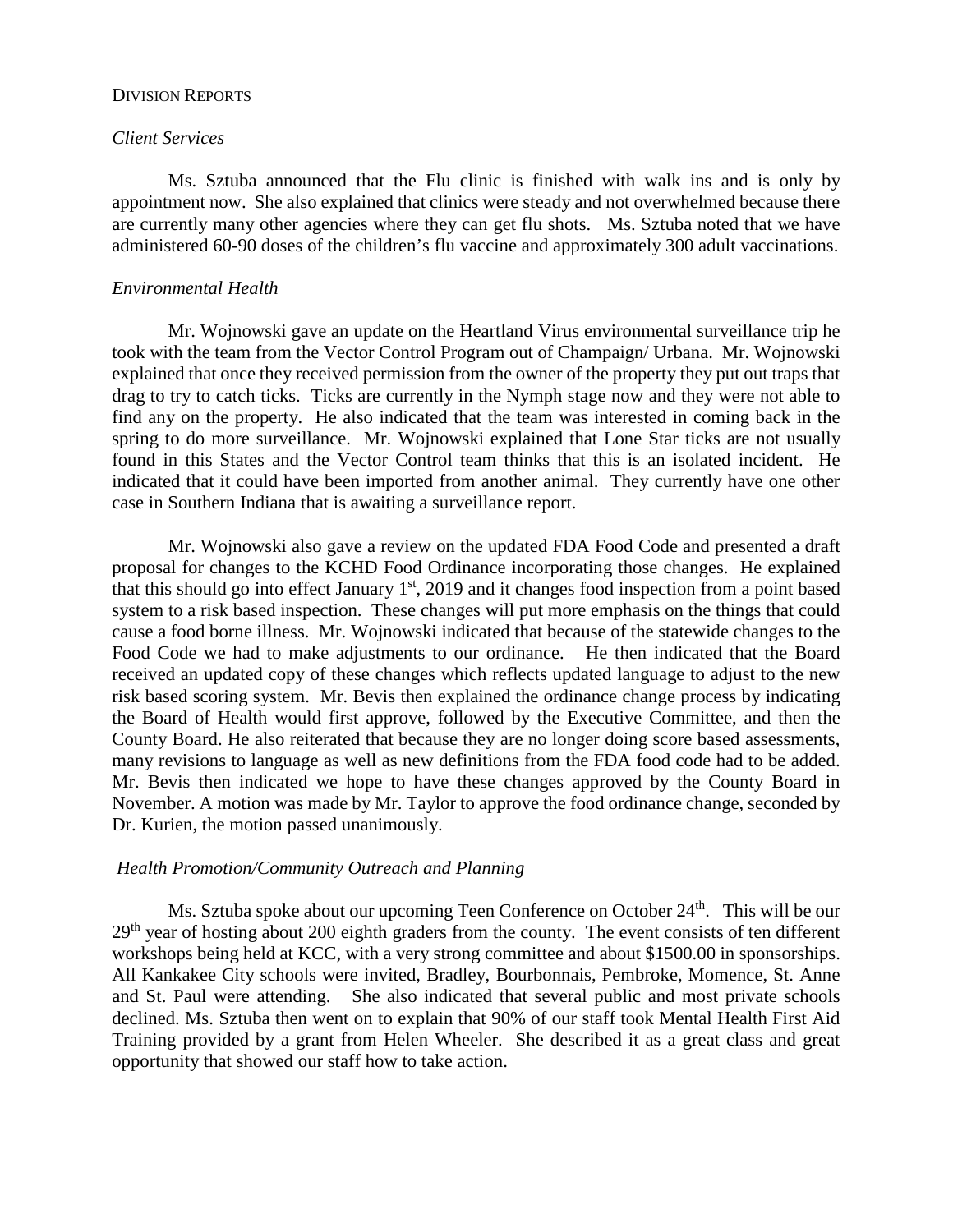## DIVISION REPORTS

# *Client Services*

Ms. Sztuba announced that the Flu clinic is finished with walk ins and is only by appointment now. She also explained that clinics were steady and not overwhelmed because there are currently many other agencies where they can get flu shots. Ms. Sztuba noted that we have administered 60-90 doses of the children's flu vaccine and approximately 300 adult vaccinations.

## *Environmental Health*

Mr. Wojnowski gave an update on the Heartland Virus environmental surveillance trip he took with the team from the Vector Control Program out of Champaign/ Urbana. Mr. Wojnowski explained that once they received permission from the owner of the property they put out traps that drag to try to catch ticks. Ticks are currently in the Nymph stage now and they were not able to find any on the property. He also indicated that the team was interested in coming back in the spring to do more surveillance. Mr. Wojnowski explained that Lone Star ticks are not usually found in this States and the Vector Control team thinks that this is an isolated incident. He indicated that it could have been imported from another animal. They currently have one other case in Southern Indiana that is awaiting a surveillance report.

Mr. Wojnowski also gave a review on the updated FDA Food Code and presented a draft proposal for changes to the KCHD Food Ordinance incorporating those changes. He explained that this should go into effect January  $1<sup>st</sup>$ , 2019 and it changes food inspection from a point based system to a risk based inspection. These changes will put more emphasis on the things that could cause a food borne illness. Mr. Wojnowski indicated that because of the statewide changes to the Food Code we had to make adjustments to our ordinance. He then indicated that the Board received an updated copy of these changes which reflects updated language to adjust to the new risk based scoring system. Mr. Bevis then explained the ordinance change process by indicating the Board of Health would first approve, followed by the Executive Committee, and then the County Board. He also reiterated that because they are no longer doing score based assessments, many revisions to language as well as new definitions from the FDA food code had to be added. Mr. Bevis then indicated we hope to have these changes approved by the County Board in November. A motion was made by Mr. Taylor to approve the food ordinance change, seconded by Dr. Kurien, the motion passed unanimously.

# *Health Promotion/Community Outreach and Planning*

Ms. Sztuba spoke about our upcoming Teen Conference on October 24<sup>th</sup>. This will be our 29<sup>th</sup> year of hosting about 200 eighth graders from the county. The event consists of ten different workshops being held at KCC, with a very strong committee and about \$1500.00 in sponsorships. All Kankakee City schools were invited, Bradley, Bourbonnais, Pembroke, Momence, St. Anne and St. Paul were attending. She also indicated that several public and most private schools declined. Ms. Sztuba then went on to explain that 90% of our staff took Mental Health First Aid Training provided by a grant from Helen Wheeler. She described it as a great class and great opportunity that showed our staff how to take action.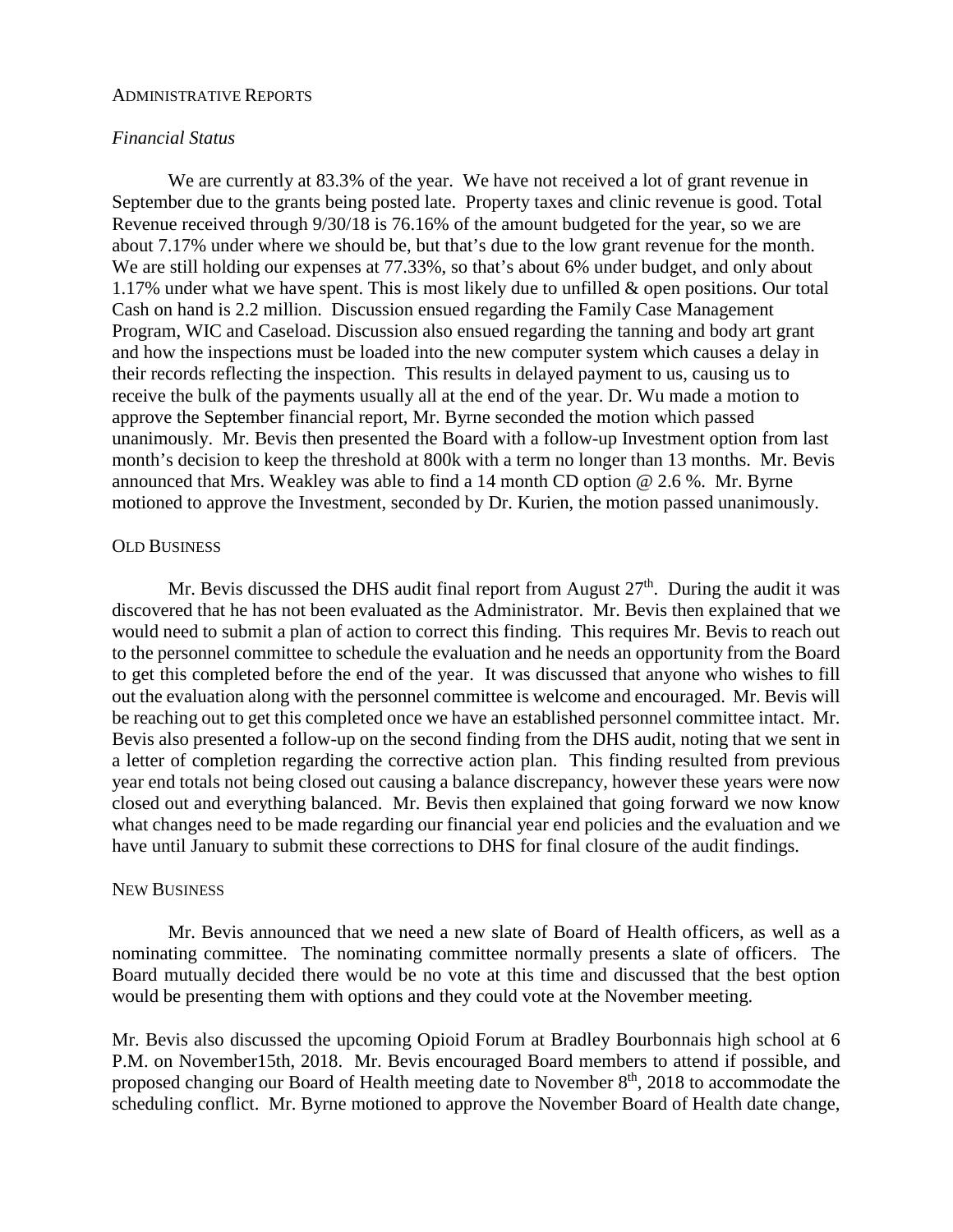#### ADMINISTRATIVE REPORTS

# *Financial Status*

We are currently at 83.3% of the year. We have not received a lot of grant revenue in September due to the grants being posted late. Property taxes and clinic revenue is good. Total Revenue received through 9/30/18 is 76.16% of the amount budgeted for the year, so we are about 7.17% under where we should be, but that's due to the low grant revenue for the month. We are still holding our expenses at 77.33%, so that's about 6% under budget, and only about 1.17% under what we have spent. This is most likely due to unfilled & open positions. Our total Cash on hand is 2.2 million. Discussion ensued regarding the Family Case Management Program, WIC and Caseload. Discussion also ensued regarding the tanning and body art grant and how the inspections must be loaded into the new computer system which causes a delay in their records reflecting the inspection. This results in delayed payment to us, causing us to receive the bulk of the payments usually all at the end of the year. Dr. Wu made a motion to approve the September financial report, Mr. Byrne seconded the motion which passed unanimously. Mr. Bevis then presented the Board with a follow-up Investment option from last month's decision to keep the threshold at 800k with a term no longer than 13 months. Mr. Bevis announced that Mrs. Weakley was able to find a 14 month CD option @ 2.6 %. Mr. Byrne motioned to approve the Investment, seconded by Dr. Kurien, the motion passed unanimously.

#### OLD BUSINESS

Mr. Bevis discussed the DHS audit final report from August  $27<sup>th</sup>$ . During the audit it was discovered that he has not been evaluated as the Administrator. Mr. Bevis then explained that we would need to submit a plan of action to correct this finding. This requires Mr. Bevis to reach out to the personnel committee to schedule the evaluation and he needs an opportunity from the Board to get this completed before the end of the year. It was discussed that anyone who wishes to fill out the evaluation along with the personnel committee is welcome and encouraged. Mr. Bevis will be reaching out to get this completed once we have an established personnel committee intact. Mr. Bevis also presented a follow-up on the second finding from the DHS audit, noting that we sent in a letter of completion regarding the corrective action plan. This finding resulted from previous year end totals not being closed out causing a balance discrepancy, however these years were now closed out and everything balanced. Mr. Bevis then explained that going forward we now know what changes need to be made regarding our financial year end policies and the evaluation and we have until January to submit these corrections to DHS for final closure of the audit findings.

## NEW BUSINESS

Mr. Bevis announced that we need a new slate of Board of Health officers, as well as a nominating committee. The nominating committee normally presents a slate of officers. The Board mutually decided there would be no vote at this time and discussed that the best option would be presenting them with options and they could vote at the November meeting.

Mr. Bevis also discussed the upcoming Opioid Forum at Bradley Bourbonnais high school at 6 P.M. on November15th, 2018. Mr. Bevis encouraged Board members to attend if possible, and proposed changing our Board of Health meeting date to November  $8<sup>th</sup>$ , 2018 to accommodate the scheduling conflict. Mr. Byrne motioned to approve the November Board of Health date change,